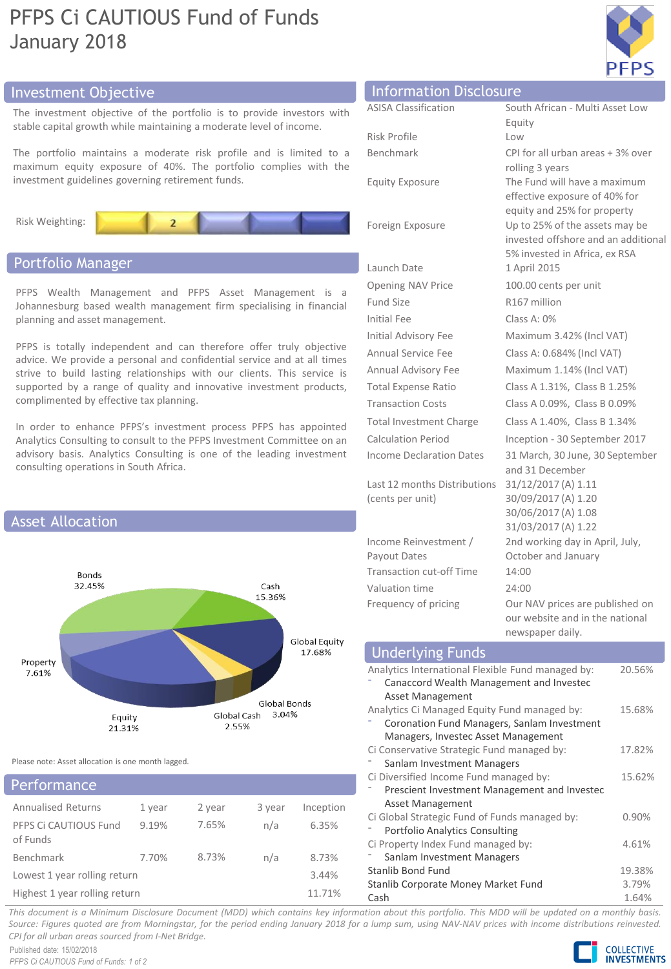# PFPS Ci CAUTIOUS Fund of Funds January 2018



# Investment Objective

The investment objective of the portfolio is to provide investors with stable capital growth while maintaining a moderate level of income.

The portfolio maintains a moderate risk profile and is limited to a maximum equity exposure of 40%. The portfolio complies with the investment guidelines governing retirement funds.



# Portfolio Manager

PFPS Wealth Management and PFPS Asset Management is a Johannesburg based wealth management firm specialising in financial planning and asset management.

PFPS is totally independent and can therefore offer truly objective advice. We provide a personal and confidential service and at all times strive to build lasting relationships with our clients. This service is supported by a range of quality and innovative investment products, complimented by effective tax planning.

In order to enhance PFPS's investment process PFPS has appointed Analytics Consulting to consult to the PFPS Investment Committee on an advisory basis. Analytics Consulting is one of the leading investment consulting operations in South Africa.



Please note: Asset allocation is one month lagged.

# Performance

| -----------------                 |        |        |        |           |
|-----------------------------------|--------|--------|--------|-----------|
| <b>Annualised Returns</b>         | 1 year | 2 year | 3 year | Inception |
| PFPS Ci CAUTIOUS Fund<br>of Funds | 9.19%  | 7.65%  | n/a    | 6.35%     |
| Benchmark                         | 7.70%  | 8.73%  | n/a    | 8.73%     |
| Lowest 1 year rolling return      | 3.44%  |        |        |           |
| Highest 1 year rolling return     | 11.71% |        |        |           |

| <b>Information Disclosure</b> |       |
|-------------------------------|-------|
| <b>ASISA Classification</b>   | South |

| AJIJA URSSIIIURIIUII            | JUULII AITILAIT - IVIUILI ASSEL LUW<br>Equity                                                          |
|---------------------------------|--------------------------------------------------------------------------------------------------------|
| Risk Profile                    | Low                                                                                                    |
| Benchmark                       | CPI for all urban areas + 3% over<br>rolling 3 years                                                   |
| <b>Equity Exposure</b>          | The Fund will have a maximum<br>effective exposure of 40% for<br>equity and 25% for property           |
| Foreign Exposure                | Up to 25% of the assets may be<br>invested offshore and an additional<br>5% invested in Africa, ex RSA |
| Launch Date                     | 1 April 2015                                                                                           |
| <b>Opening NAV Price</b>        | 100.00 cents per unit                                                                                  |
| <b>Fund Size</b>                | R167 million                                                                                           |
| Initial Fee                     | Class A: 0%                                                                                            |
| <b>Initial Advisory Fee</b>     | Maximum 3.42% (Incl VAT)                                                                               |
| <b>Annual Service Fee</b>       | Class A: 0.684% (Incl VAT)                                                                             |
| Annual Advisory Fee             | Maximum 1.14% (Incl VAT)                                                                               |
| <b>Total Expense Ratio</b>      | Class A 1.31%, Class B 1.25%                                                                           |
| <b>Transaction Costs</b>        | Class A 0.09%, Class B 0.09%                                                                           |
| <b>Total Investment Charge</b>  | Class A 1.40%, Class B 1.34%                                                                           |
| Calculation Period              | Inception - 30 September 2017                                                                          |
| Income Declaration Dates        | 31 March, 30 June, 30 September<br>and 31 December                                                     |
| Last 12 months Distributions    | 31/12/2017 (A) 1.11                                                                                    |
| (cents per unit)                | 30/09/2017 (A) 1.20                                                                                    |
|                                 | 30/06/2017 (A) 1.08<br>31/03/2017 (A) 1.22                                                             |
| Income Reinvestment /           | 2nd working day in April, July,                                                                        |
| Payout Dates                    | October and January                                                                                    |
| <b>Transaction cut-off Time</b> | 14:00                                                                                                  |
| Valuation time                  | 24:00                                                                                                  |
| Frequency of pricing            | Our NAV prices are published on<br>our website and in the national<br>newspaper daily.                 |
|                                 |                                                                                                        |

# Underlying Funds

| Analytics International Flexible Fund managed by: | 20.56%   |
|---------------------------------------------------|----------|
| Canaccord Wealth Management and Investec          |          |
| Asset Management                                  |          |
| Analytics Ci Managed Equity Fund managed by:      | 15.68%   |
| Coronation Fund Managers, Sanlam Investment       |          |
| Managers, Investec Asset Management               |          |
| Ci Conservative Strategic Fund managed by:        | 17.82%   |
| Sanlam Investment Managers                        |          |
| Ci Diversified Income Fund managed by:            | 15.62%   |
| Prescient Investment Management and Investec      |          |
| Asset Management                                  |          |
| Ci Global Strategic Fund of Funds managed by:     | $0.90\%$ |
| <b>Portfolio Analytics Consulting</b>             |          |
| Ci Property Index Fund managed by:                | 4.61%    |
| Sanlam Investment Managers                        |          |
| Stanlib Bond Fund                                 | 19.38%   |
| Stanlib Corporate Money Market Fund               | 3.79%    |
| Cash                                              | 1.64%    |

This document is a Minimum Disclosure Document (MDD) which contains key information about this portfolio. This MDD will be updated on a monthly basis. Source: Figures quoted are from Morningstar, for the period ending January 2018 for a lump sum, using NAV-NAV prices with income distributions reinvested. *CPI for all urban areas sourced from I-Net Bridge.*

Published date: 15/02/2018 *PFPS Ci CAUTIOUS Fund of Funds: 1 of 2*